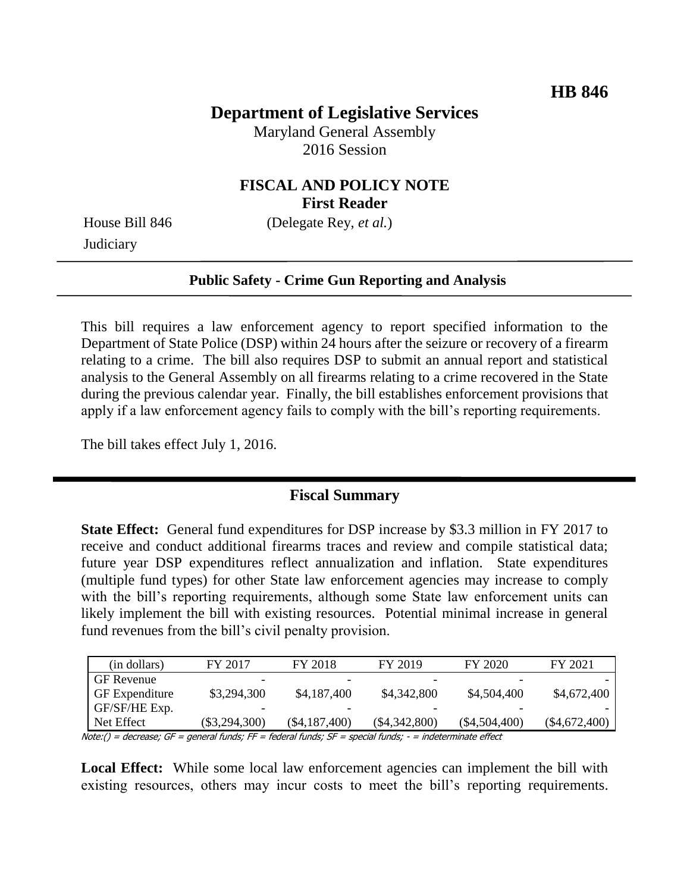# **Department of Legislative Services**

Maryland General Assembly 2016 Session

#### **FISCAL AND POLICY NOTE First Reader**

**Judiciary** 

House Bill 846 (Delegate Rey, *et al.*)

#### **Public Safety - Crime Gun Reporting and Analysis**

This bill requires a law enforcement agency to report specified information to the Department of State Police (DSP) within 24 hours after the seizure or recovery of a firearm relating to a crime. The bill also requires DSP to submit an annual report and statistical analysis to the General Assembly on all firearms relating to a crime recovered in the State during the previous calendar year. Finally, the bill establishes enforcement provisions that apply if a law enforcement agency fails to comply with the bill's reporting requirements.

The bill takes effect July 1, 2016.

#### **Fiscal Summary**

**State Effect:** General fund expenditures for DSP increase by \$3.3 million in FY 2017 to receive and conduct additional firearms traces and review and compile statistical data; future year DSP expenditures reflect annualization and inflation. State expenditures (multiple fund types) for other State law enforcement agencies may increase to comply with the bill's reporting requirements, although some State law enforcement units can likely implement the bill with existing resources. Potential minimal increase in general fund revenues from the bill's civil penalty provision.

| (in dollars)                                                                                             | FY 2017         | FY 2018       | FY 2019       | FY 2020         | FY 2021         |  |
|----------------------------------------------------------------------------------------------------------|-----------------|---------------|---------------|-----------------|-----------------|--|
| <b>GF</b> Revenue                                                                                        |                 |               |               |                 |                 |  |
| <b>GF</b> Expenditure                                                                                    | \$3,294,300     | \$4,187,400   | \$4,342,800   | \$4,504,400     | \$4,672,400     |  |
| GF/SF/HE Exp.                                                                                            |                 |               |               |                 |                 |  |
| Net Effect                                                                                               | $(\$3,294,300)$ | (\$4,187,400) | (\$4,342,800) | $(\$4,504,400)$ | $(\$4,672,400)$ |  |
| Note:() = decrease; GF = qeneral funds; FF = federal funds; SF = special funds; - = indeterminate effect |                 |               |               |                 |                 |  |

Local Effect: While some local law enforcement agencies can implement the bill with existing resources, others may incur costs to meet the bill's reporting requirements.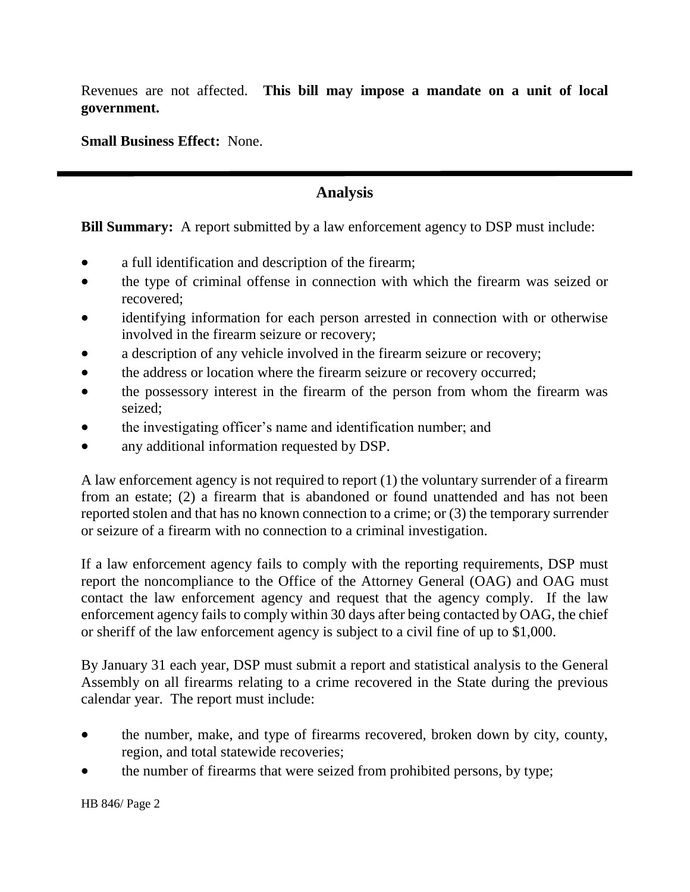Revenues are not affected. **This bill may impose a mandate on a unit of local government.**

**Small Business Effect:** None.

## **Analysis**

### **Bill Summary:** A report submitted by a law enforcement agency to DSP must include:

- a full identification and description of the firearm;
- the type of criminal offense in connection with which the firearm was seized or recovered;
- identifying information for each person arrested in connection with or otherwise involved in the firearm seizure or recovery;
- a description of any vehicle involved in the firearm seizure or recovery;
- the address or location where the firearm seizure or recovery occurred;
- the possessory interest in the firearm of the person from whom the firearm was seized;
- the investigating officer's name and identification number; and
- any additional information requested by DSP.

A law enforcement agency is not required to report (1) the voluntary surrender of a firearm from an estate; (2) a firearm that is abandoned or found unattended and has not been reported stolen and that has no known connection to a crime; or (3) the temporary surrender or seizure of a firearm with no connection to a criminal investigation.

If a law enforcement agency fails to comply with the reporting requirements, DSP must report the noncompliance to the Office of the Attorney General (OAG) and OAG must contact the law enforcement agency and request that the agency comply. If the law enforcement agency fails to comply within 30 days after being contacted by OAG, the chief or sheriff of the law enforcement agency is subject to a civil fine of up to \$1,000.

By January 31 each year, DSP must submit a report and statistical analysis to the General Assembly on all firearms relating to a crime recovered in the State during the previous calendar year. The report must include:

- the number, make, and type of firearms recovered, broken down by city, county, region, and total statewide recoveries;
- the number of firearms that were seized from prohibited persons, by type;

HB 846/ Page 2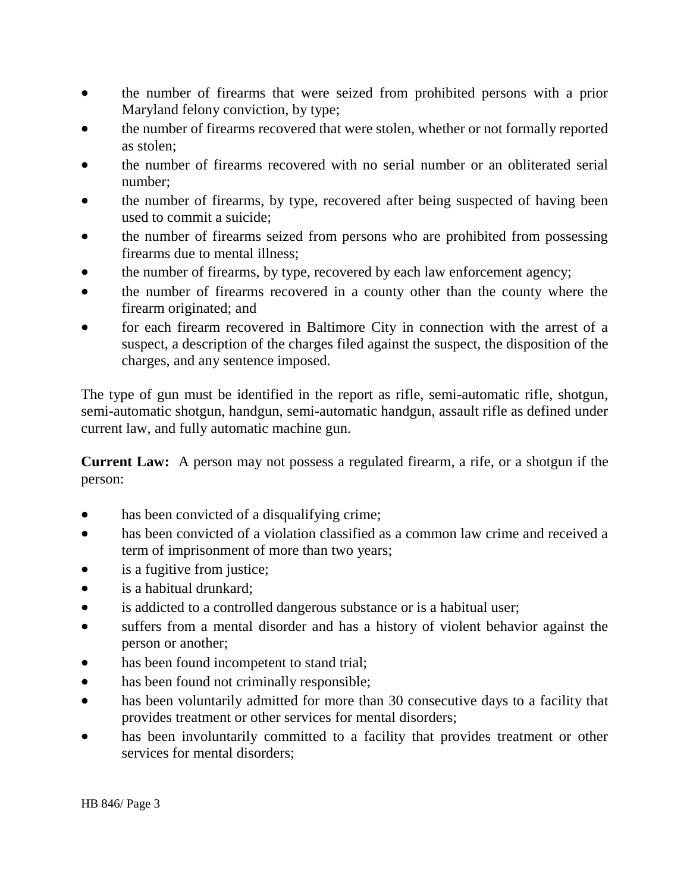- the number of firearms that were seized from prohibited persons with a prior Maryland felony conviction, by type;
- the number of firearms recovered that were stolen, whether or not formally reported as stolen;
- the number of firearms recovered with no serial number or an obliterated serial number;
- the number of firearms, by type, recovered after being suspected of having been used to commit a suicide;
- the number of firearms seized from persons who are prohibited from possessing firearms due to mental illness;
- the number of firearms, by type, recovered by each law enforcement agency;
- the number of firearms recovered in a county other than the county where the firearm originated; and
- for each firearm recovered in Baltimore City in connection with the arrest of a suspect, a description of the charges filed against the suspect, the disposition of the charges, and any sentence imposed.

The type of gun must be identified in the report as rifle, semi-automatic rifle, shotgun, semi-automatic shotgun, handgun, semi-automatic handgun, assault rifle as defined under current law, and fully automatic machine gun.

**Current Law:** A person may not possess a regulated firearm, a rife, or a shotgun if the person:

- has been convicted of a disqualifying crime;
- has been convicted of a violation classified as a common law crime and received a term of imprisonment of more than two years;
- is a fugitive from justice;
- is a habitual drunkard:
- is addicted to a controlled dangerous substance or is a habitual user;
- suffers from a mental disorder and has a history of violent behavior against the person or another;
- has been found incompetent to stand trial;
- has been found not criminally responsible;
- has been voluntarily admitted for more than 30 consecutive days to a facility that provides treatment or other services for mental disorders;
- has been involuntarily committed to a facility that provides treatment or other services for mental disorders;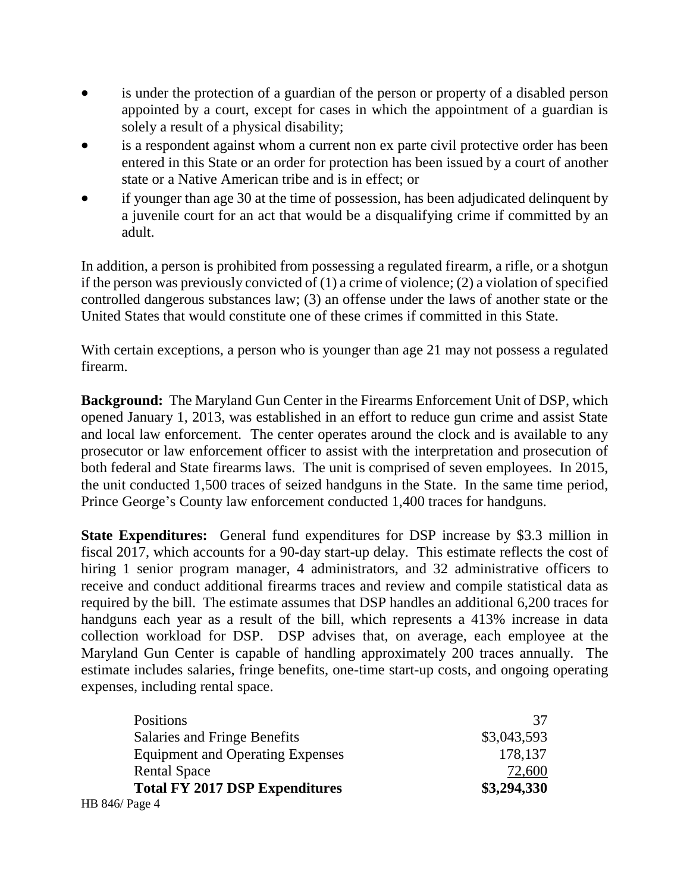- is under the protection of a guardian of the person or property of a disabled person appointed by a court, except for cases in which the appointment of a guardian is solely a result of a physical disability;
- is a respondent against whom a current non ex parte civil protective order has been entered in this State or an order for protection has been issued by a court of another state or a Native American tribe and is in effect; or
- if younger than age 30 at the time of possession, has been adjudicated delinquent by a juvenile court for an act that would be a disqualifying crime if committed by an adult.

In addition, a person is prohibited from possessing a regulated firearm, a rifle, or a shotgun if the person was previously convicted of  $(1)$  a crime of violence;  $(2)$  a violation of specified controlled dangerous substances law; (3) an offense under the laws of another state or the United States that would constitute one of these crimes if committed in this State.

With certain exceptions, a person who is younger than age 21 may not possess a regulated firearm.

**Background:** The Maryland Gun Center in the Firearms Enforcement Unit of DSP, which opened January 1, 2013, was established in an effort to reduce gun crime and assist State and local law enforcement. The center operates around the clock and is available to any prosecutor or law enforcement officer to assist with the interpretation and prosecution of both federal and State firearms laws. The unit is comprised of seven employees. In 2015, the unit conducted 1,500 traces of seized handguns in the State. In the same time period, Prince George's County law enforcement conducted 1,400 traces for handguns.

**State Expenditures:** General fund expenditures for DSP increase by \$3.3 million in fiscal 2017, which accounts for a 90-day start-up delay. This estimate reflects the cost of hiring 1 senior program manager, 4 administrators, and 32 administrative officers to receive and conduct additional firearms traces and review and compile statistical data as required by the bill. The estimate assumes that DSP handles an additional 6,200 traces for handguns each year as a result of the bill, which represents a 413% increase in data collection workload for DSP. DSP advises that, on average, each employee at the Maryland Gun Center is capable of handling approximately 200 traces annually. The estimate includes salaries, fringe benefits, one-time start-up costs, and ongoing operating expenses, including rental space.

| <b>Positions</b>                        | 37          |
|-----------------------------------------|-------------|
| Salaries and Fringe Benefits            | \$3,043,593 |
| <b>Equipment and Operating Expenses</b> | 178,137     |
| <b>Rental Space</b>                     | 72,600      |
| <b>Total FY 2017 DSP Expenditures</b>   | \$3,294,330 |
| HB 846/ Page 4                          |             |